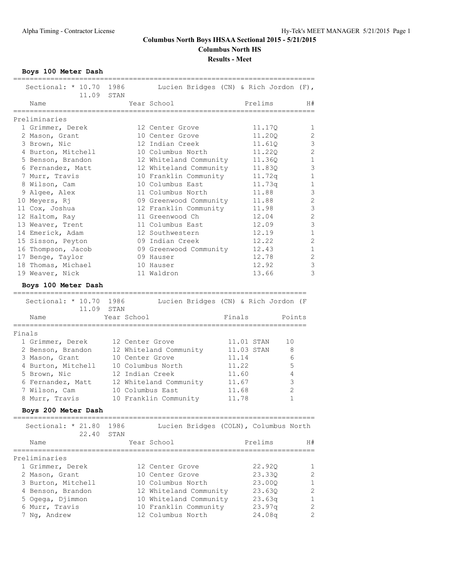**Boys 100 Meter Dash**

| Sectional: $*$ 10.70           | 1986<br>Lucien Bridges (CN) & Rich Jordon (F),<br>11.09 STAN |            |                  |                |
|--------------------------------|--------------------------------------------------------------|------------|------------------|----------------|
| Name<br>==========             | Year School                                                  |            | Prelims          | H#             |
| Preliminaries                  |                                                              |            |                  |                |
| 1 Grimmer, Derek               | 12 Center Grove                                              |            | 11.17Q           | 1              |
| 2 Mason, Grant                 | 10 Center Grove                                              |            | 11.200           | 2              |
| 3 Brown, Nic                   | 12 Indian Creek                                              |            | 11.61Q           | $\mathcal{S}$  |
|                                |                                                              |            |                  | $\overline{c}$ |
| 4 Burton, Mitchell             | 10 Columbus North                                            |            | 11.220           | $\mathbf{1}$   |
| 5 Benson, Brandon              | 12 Whiteland Community                                       |            | 11.360           | 3              |
| 6 Fernandez, Matt              | 12 Whiteland Community                                       |            | 11.830           |                |
| 7 Murr, Travis                 | 10 Franklin Community                                        |            | 11.72q           | 1              |
| 8 Wilson, Cam                  | 10 Columbus East                                             |            | 11.73q           | 1              |
| 9 Algee, Alex                  | 11 Columbus North                                            |            | 11.88            | 3              |
| 10 Meyers, Rj                  | 09 Greenwood Community                                       |            | 11.88            | $\overline{c}$ |
| 11 Cox, Joshua                 | 12 Franklin Community                                        |            | 11.98            | 3              |
| 12 Haltom, Ray                 | 11 Greenwood Ch                                              |            | 12.04            | $\overline{c}$ |
| 13 Weaver, Trent               | 11 Columbus East                                             |            | 12.09            | 3              |
| 14 Emerick, Adam               | 12 Southwestern                                              |            | 12.19            | 1              |
| 15 Sisson, Peyton              | 09 Indian Creek                                              |            | 12.22            | $\overline{2}$ |
| 16 Thompson, Jacob             | 09 Greenwood Community                                       |            | 12.43            | $\mathbf{1}$   |
| 17 Benge, Taylor               | 09 Hauser                                                    |            | 12.78            | $\mathbf{2}$   |
| 18 Thomas, Michael             | 10 Hauser                                                    |            | 12.92            | $\mathcal{S}$  |
| 19 Weaver, Nick                | 11 Waldron                                                   |            | 13.66            | 3              |
| Boys 100 Meter Dash            |                                                              |            |                  |                |
| -------------------------      |                                                              |            |                  |                |
| Sectional: * 10.70             | 1986<br>Lucien Bridges (CN) & Rich Jordon (F                 |            |                  |                |
|                                | 11.09 STAN                                                   |            |                  |                |
| Name                           | Year School                                                  | Finals     |                  | Points         |
|                                |                                                              |            |                  |                |
| Finals                         |                                                              |            |                  |                |
| 1 Grimmer, Derek               | 12 Center Grove                                              | 11.01 STAN |                  | 10             |
| 2 Benson, Brandon              | 12 Whiteland Community                                       | 11.03 STAN |                  | 8              |
| 3 Mason, Grant                 | 10 Center Grove                                              | 11.14      |                  | 6              |
| 4 Burton, Mitchell             | 10 Columbus North                                            | 11.22      |                  | 5              |
| 5 Brown, Nic                   | 12 Indian Creek                                              | 11.60      |                  | 4              |
| 6 Fernandez, Matt              | 12 Whiteland Community                                       | 11.67      |                  | 3              |
| 7 Wilson, Cam                  | 10 Columbus East                                             | 11.68      |                  | $\overline{c}$ |
| 8 Murr, Travis                 | 10 Franklin Community                                        | 11.78      |                  | $\mathbf{1}$   |
| Boys 200 Meter Dash            |                                                              |            |                  |                |
|                                |                                                              |            |                  |                |
| Sectional: * 21.80             | 1986<br>Lucien Bridges (COLN), Columbus North                |            |                  |                |
| 22.40                          | STAN                                                         |            |                  |                |
| Name<br>---------------        | Year School                                                  |            | Prelims          | H#             |
| Preliminaries                  |                                                              |            |                  |                |
| 1 Grimmer, Derek               | 12 Center Grove                                              |            | 22.92Q           | 1              |
| 2 Mason, Grant                 | 10 Center Grove                                              |            | 23.330           | 2              |
| 3 Burton, Mitchell             | 10 Columbus North                                            |            | 23.00Q           | $\mathbf 1$    |
| 4 Benson, Brandon              | 12 Whiteland Community                                       |            | 23.630           | 2              |
| 5 Ogega, Djimmon               |                                                              |            |                  | 1              |
|                                | 10 Whiteland Community                                       |            | 23.63q           | $\overline{2}$ |
| 6 Murr, Travis<br>7 Ng, Andrew | 10 Franklin Community<br>12 Columbus North                   |            | 23.97q<br>24.08q | $\mathbf{2}$   |
|                                |                                                              |            |                  |                |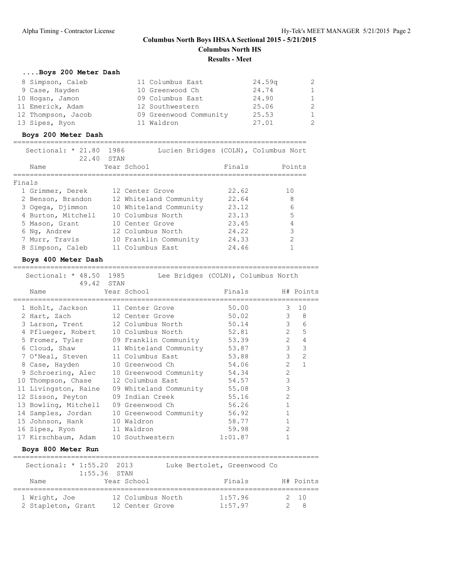## **....Boys 200 Meter Dash**

| 8 Simpson, Caleb   | 11 Columbus East       | 24.59 <sub>q</sub> | -2 |
|--------------------|------------------------|--------------------|----|
| 9 Case, Hayden     | 10 Greenwood Ch        | 24.74              | 1  |
| 10 Hogan, Jamon    | 09 Columbus East       | 24.90              | 1  |
| 11 Emerick, Adam   | 12 Southwestern        | 25.06              | -2 |
| 12 Thompson, Jacob | 09 Greenwood Community | 25.53              | -1 |
| 13 Sipes, Ryon     | 11 Waldron             | 27.01              | -2 |

## **Boys 200 Meter Dash**

| Sectional: $* 21.80$<br>22.40 STAN | 1986<br>Lucien Bridges (COLN), Columbus Nort |        |               |
|------------------------------------|----------------------------------------------|--------|---------------|
| Name                               | Year School                                  | Finals | Points        |
|                                    |                                              |        |               |
| Finals                             |                                              |        |               |
| 1 Grimmer, Derek                   | 12 Center Grove                              | 22.62  | 10            |
| 2 Benson, Brandon                  | 12 Whiteland Community                       | 22.64  | 8             |
| 3 Ogega, Djimmon                   | 10 Whiteland Community                       | 23.12  | 6             |
| 4 Burton, Mitchell                 | 10 Columbus North                            | 23.13  | 5             |
| 5 Mason, Grant                     | 10 Center Grove                              | 23.45  | 4             |
| 6 Ng, Andrew                       | 12 Columbus North                            | 24.22  | 3             |
| 7 Murr, Travis                     | 10 Franklin Community                        | 24.33  | $\mathcal{P}$ |
| 8 Simpson, Caleb                   | 11 Columbus East                             | 24.46  |               |

==========================================================================

#### **Boys 400 Meter Dash**

| Sectional: * 48.50 1985<br>49.42 STAN |                                                                         | Lee Bridges (COLN), Columbus North                                                                                                                                                                                             |                                  |
|---------------------------------------|-------------------------------------------------------------------------|--------------------------------------------------------------------------------------------------------------------------------------------------------------------------------------------------------------------------------|----------------------------------|
| Name                                  | Year School                                                             | Finals H# Points                                                                                                                                                                                                               |                                  |
| 1 Hohlt, Jackson                      | 11 Center Grove                                                         | 50.00                                                                                                                                                                                                                          | 3 10                             |
|                                       | 2 Hart, Zach 12 Center Grove                                            | 50.02                                                                                                                                                                                                                          | $3 \t 8$                         |
|                                       | 3 Larson, Trent 12 Columbus North 50.14                                 |                                                                                                                                                                                                                                | $3\qquad 6$                      |
|                                       | 4 Pflueger, Robert 10 Columbus North 52.81                              |                                                                                                                                                                                                                                | $2^{\circ}$<br>5                 |
|                                       | 5 Fromer, Tyler 09 Franklin Community 53.39                             |                                                                                                                                                                                                                                | $2^{\sim}$<br>$\overline{4}$     |
|                                       | 6 Cloud, Shaw 11 Whiteland Community 53.87                              |                                                                                                                                                                                                                                | 3 <sup>7</sup><br>$\mathfrak{Z}$ |
|                                       | 7 O'Neal, Steven 11 Columbus East 53.88                                 |                                                                                                                                                                                                                                | 3 <sup>7</sup><br>$\overline{c}$ |
| 8 Case, Hayden                        | 10 Greenwood Charles 54.06                                              |                                                                                                                                                                                                                                | $2^{\circ}$<br>$\mathbf{1}$      |
| 9 Schroering, Alec                    | 10 Greenwood Community 54.34                                            |                                                                                                                                                                                                                                | $\overline{c}$                   |
| 10 Thompson, Chase                    | 12 Columbus East                                                        | 54.57                                                                                                                                                                                                                          | $\mathfrak{Z}$                   |
| 11 Livingston, Raine                  | 09 Whiteland Community 55.08                                            |                                                                                                                                                                                                                                | 3                                |
| 12 Sisson, Peyton                     | 09 Indian Creek 55.16                                                   |                                                                                                                                                                                                                                | $\overline{c}$                   |
| 13 Bowling, Mitchell                  | 09 Greenwood Ch                                                         | 56.26                                                                                                                                                                                                                          | $\mathbf{1}$                     |
|                                       | 14 Samples, Jordan 10 Greenwood Community 56.92                         |                                                                                                                                                                                                                                | $\mathbf{1}$                     |
| 15 Johnson, Hank                      | 10 Waldron                                                              | 58.77                                                                                                                                                                                                                          | $\mathbf{1}$                     |
| 16 Sipes, Ryon 11 Waldron             |                                                                         | 59.98                                                                                                                                                                                                                          | $\mathbf{2}$                     |
|                                       | 17 Kirschbaum, Adam 10 Southwestern                                     | 1:01.87                                                                                                                                                                                                                        | $\mathbf{1}$                     |
| Boys 800 Meter Run                    | ===================                                                     |                                                                                                                                                                                                                                |                                  |
|                                       | Sectional: * 1:55.20 2013 Luke Bertolet, Greenwood Co<br>$1:55.36$ STAN |                                                                                                                                                                                                                                |                                  |
| Neme Veen Cabeal                      |                                                                         | the state of the material control of the state of the state of the state of the state of the state of the state of the state of the state of the state of the state of the state of the state of the state of the state of the |                                  |

| Name               | Year School       | Finals  | H# Points |
|--------------------|-------------------|---------|-----------|
|                    |                   |         |           |
| 1 Wright, Joe      | 12 Columbus North | 1:57.96 | 2 10      |
| 2 Stapleton, Grant | 12 Center Grove   | 1:57.97 | $2^8$     |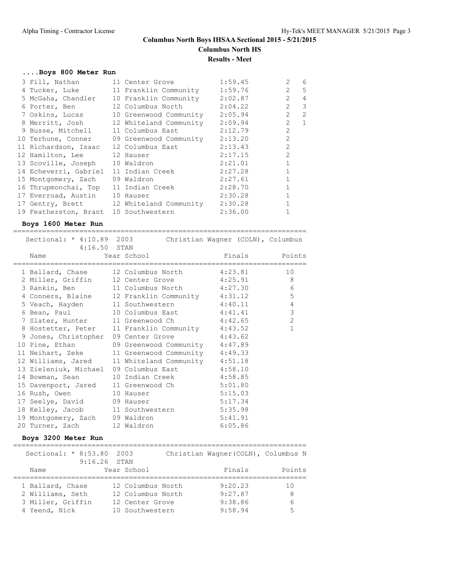#### **....Boys 800 Meter Run**

| 3 Fill, Nathan                        | 11 Center Grove                           | 1:59.45 | $\overline{2}$ | 6              |
|---------------------------------------|-------------------------------------------|---------|----------------|----------------|
|                                       | 4 Tucker, Luke 11 Franklin Community      | 1:59.76 | $\overline{2}$ | 5              |
|                                       | 5 McGaha, Chandler 10 Franklin Community  | 2:02.87 | $\overline{2}$ | $\overline{4}$ |
|                                       | 6 Porter, Ben 12 Columbus North           | 2:04.22 | $\overline{2}$ | 3              |
| 7 Oskins, Lucas                       | 10 Greenwood Community                    | 2:05.94 | $\overline{2}$ | 2              |
|                                       | 8 Merritt, Josh 12 Whiteland Community    | 2:09.94 | $\overline{2}$ | 1              |
| 9 Busse, Mitchell 11 Columbus East    |                                           | 2:12.79 | $\mathfrak{D}$ |                |
|                                       | 10 Terhune, Conner 09 Greenwood Community | 2:13.20 | $\overline{2}$ |                |
| 11 Richardson, Isaac 12 Columbus East |                                           | 2:13.43 | $\overline{2}$ |                |
| 12 Hamilton, Lee 12 Hauser            |                                           | 2:17.15 | $\overline{2}$ |                |
| 13 Scoville, Joseph 10 Waldron        |                                           | 2:21.01 | $\mathbf{1}$   |                |
| 14 Echeverri, Gabriel 11 Indian Creek |                                           | 2:27.28 | $\mathbf{1}$   |                |
| 15 Montgomery, Zach                   | 09 Waldron                                | 2:27.61 |                |                |
| 16 Thrupmonchai, Top                  | 11 Indian Creek                           | 2:28.70 | 1              |                |
| 17 Everroad, Austin 10 Hauser         |                                           | 2:30.28 |                |                |
|                                       | 17 Gentry, Brett 12 Whiteland Community   | 2:30.28 |                |                |
| 19 Featherston, Brant 10 Southwestern |                                           | 2:36.00 |                |                |
|                                       |                                           |         |                |                |

#### **Boys 1600 Meter Run**

======================================================================= Sectional: \* 4:10.89 2003 Christian Wagner (COLN), Columbus 4:16.50 STAN Atletic STAN Annual Points (16.50 STAN)<br>Name Tear School Mame Points Points ======================================================================= 1 Ballard, Chase 12 Columbus North 4:23.81 10 2 Miller, Griffin 12 Center Grove  $4:25.91$  8 3 Rankin, Ben 11 Columbus North 4:27.30 6 4 Conners, Blaine 12 Franklin Community 4:31.12 5 5 Veach, Hayden 11 Southwestern 4:40.11 4 6 Bean, Paul 10 Columbus East 4:41.41 3 7 Slater, Hunter 11 Greenwood Ch 4:42.65 2 8 Hostetter, Peter 11 Franklin Community 4:43.52 1 9 Jones, Christopher 09 Center Grove 4:43.62 10 Pine, Ethan 09 Greenwood Community 4:47.89 11 Neihart, Zeke 11 Greenwood Community 4:49.33 12 Williams, Jared 11 Whiteland Community 4:51.18 13 Zieleniuk, Michael 09 Columbus East 4:58.10 14 Bowman, Sean 10 Indian Creek 4:58.85 15 Davenport, Jared 11 Greenwood Ch 5:01.80 16 Rush, Owen 10 Hauser 5:15.03 17 Seelye, David 09 Hauser 5:17.34 18 Kelley, Jacob 11 Southwestern 5:35.98 19 Montgomery, Zach 09 Waldron 5:41.91 20 Turner, Zach 12 Waldron 6:05.86

#### **Boys 3200 Meter Run**

| Sectional: $* 8:53.80$ | 2003<br>$9:16.26$ STAN | Christian Wagner (COLN), Columbus N |        |
|------------------------|------------------------|-------------------------------------|--------|
| Name                   | Year School            | Finals                              | Points |
| 1 Ballard, Chase       | 12 Columbus North      | 9:20.23                             | 1 O    |
| 2 Williams, Seth       | 12 Columbus North      | 9:27.87                             | 8      |
| 3 Miller, Griffin      | 12 Center Grove        | 9:38.86                             | 6      |
| 4 Yeend, Nick          | 10 Southwestern        | 9:58.94                             | 5      |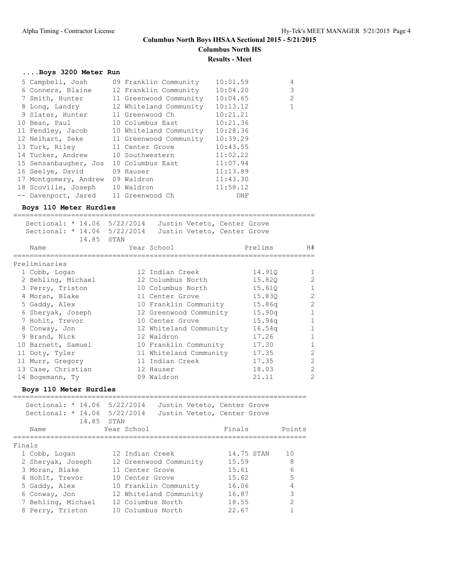#### **....Boys 3200 Meter Run**

| 09 Franklin Community  | 10:01.59                                                                                                                                                                                                                   | 4                                                                                                                       |
|------------------------|----------------------------------------------------------------------------------------------------------------------------------------------------------------------------------------------------------------------------|-------------------------------------------------------------------------------------------------------------------------|
|                        | 10:04.20                                                                                                                                                                                                                   | 3                                                                                                                       |
|                        | 10:04.65                                                                                                                                                                                                                   | 2                                                                                                                       |
| 12 Whiteland Community | 10:13.12                                                                                                                                                                                                                   | $\mathbf 1$                                                                                                             |
| 11 Greenwood Ch        | 10:21.21                                                                                                                                                                                                                   |                                                                                                                         |
|                        | 10:21.36                                                                                                                                                                                                                   |                                                                                                                         |
|                        | 10:28.36                                                                                                                                                                                                                   |                                                                                                                         |
|                        | 10:39.29                                                                                                                                                                                                                   |                                                                                                                         |
| 11 Center Grove        | 10:43.55                                                                                                                                                                                                                   |                                                                                                                         |
| 10 Southwestern        | 11:02.22                                                                                                                                                                                                                   |                                                                                                                         |
| 10 Columbus East       | 11:07.94                                                                                                                                                                                                                   |                                                                                                                         |
| 09 Hauser              | 11:13.89                                                                                                                                                                                                                   |                                                                                                                         |
| 09 Waldron             | 11:43.30                                                                                                                                                                                                                   |                                                                                                                         |
|                        | 11:58.12                                                                                                                                                                                                                   |                                                                                                                         |
|                        | DNF                                                                                                                                                                                                                        |                                                                                                                         |
|                        | 10 Bean, Paul<br>11 Fendley, Jacob<br>12 Neihart, Zeke<br>14 Tucker, Andrew<br>15 Sensanbaugher, Jos<br>16 Seelye, David<br>17 Montgomery, Andrew<br>18 Scoville, Joseph 10 Waldron<br>-- Davenport, Jared 11 Greenwood Ch | 12 Franklin Community<br>11 Greenwood Community<br>10 Columbus East<br>10 Whiteland Community<br>11 Greenwood Community |

#### **Boys 110 Meter Hurdles**

========================================================================= Sectional: \* 14.06 5/22/2014 Justin Veteto, Center Grove Sectional: \* 14.06 5/22/2014 Justin Veteto, Center Grove  $14.85$  STAN Name Tear School Prelims H# ========================================================================= Preliminaries 1 Cobb, Logan 12 Indian Creek 14.91Q 1 2 Behling, Michael 12 Columbus North 15.82Q 2 3 Perry, Triston 10 Columbus North 15.61Q 1 4 Moran, Blake 11 Center Grove 15.83Q 2 5 Gaddy, Alex 10 Franklin Community 15.86q 2 6 Sheryak, Joseph 12 Greenwood Community 15.90q 1 7 Hohlt, Trevor 10 Center Grove 15.94q 1 8 Conway, Jon 12 Whiteland Community 16.54q 1 9 Brand, Nick 12 Waldron 17.26 1 10 Barnett, Samuel 10 Franklin Community 17.30 1 11 Doty, Tyler 11 Whiteland Community 17.35 2 11 Murr, Gregory 11 Indian Creek 17.35 2 13 Case, Christian 12 Hauser 18.03 2 14 Bogemann, Ty 09 Waldron 21.11 2

#### **Boys 110 Meter Hurdles**

| Sectional: * 14.06 5/22/2014<br>Sectional: * 14.06 5/22/2014 | Justin Veteto, Center Grove<br>Justin Veteto, Center Grove<br>14.85 STAN |            |        |
|--------------------------------------------------------------|--------------------------------------------------------------------------|------------|--------|
| Name                                                         | Year School                                                              | Finals     | Points |
| Finals                                                       |                                                                          |            |        |
| 1 Cobb, Logan                                                | 12 Indian Creek                                                          | 14.75 STAN | 10     |
| 2 Sheryak, Joseph                                            | 12 Greenwood Community                                                   | 15.59      | 8      |
| 3 Moran, Blake                                               | 11 Center Grove                                                          | 15.61      | 6      |
| 4 Hohlt, Trevor                                              | 10 Center Grove                                                          | 15.62      | 5      |
| 5 Gaddy, Alex                                                | 10 Franklin Community                                                    | 16.06      | 4      |
| 6 Conway, Jon                                                | 12 Whiteland Community                                                   | 16.87      | 3      |
| 7 Behling, Michael                                           | 12 Columbus North                                                        | 18.55      | 2      |
| 8 Perry, Triston                                             | 10 Columbus North                                                        | 22.67      |        |
|                                                              |                                                                          |            |        |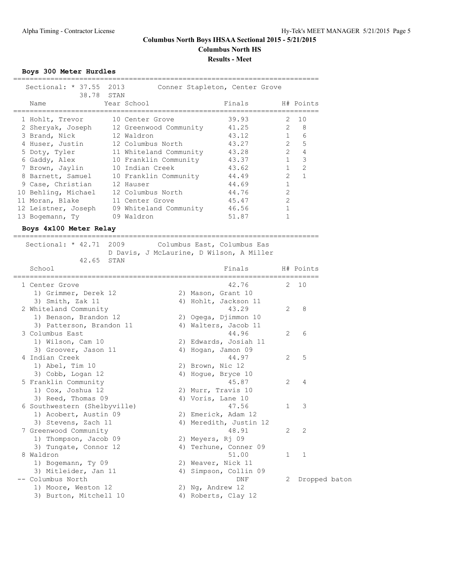**Boys 300 Meter Hurdles**

| Sectional: * 37.55 2013<br>38.78 STAN            |                        | Conner Stapleton, Center Grove           |                |               |
|--------------------------------------------------|------------------------|------------------------------------------|----------------|---------------|
| Name                                             | Year School            | Finals                                   |                | H# Points     |
| 1 Hohlt, Trevor                                  | 10 Center Grove        | ------------------------------<br>39.93  | 2              | 10            |
| 2 Sheryak, Joseph 12 Greenwood Community         |                        | 41.25                                    | $2^{\circ}$    | 8             |
| 3 Brand, Nick                                    | 12 Waldron             | 43.12                                    | 1              | 6             |
| 4 Huser, Justin                                  | 12 Columbus North      | 43.27                                    | $\overline{2}$ | 5             |
| 5 Doty, Tyler                                    | 11 Whiteland Community | 43.28                                    | $2^{\circ}$    | 4             |
| 6 Gaddy, Alex                                    | 10 Franklin Community  | 43.37                                    | 1              | 3             |
| 7 Brown, Jaylin                                  | 10 Indian Creek        | 43.62                                    | 1              | 2             |
| 8 Barnett, Samuel                                | 10 Franklin Community  | 44.49                                    | $2^{\circ}$    | $\mathbf{1}$  |
| 9 Case, Christian                                | 12 Hauser              | 44.69                                    | $\mathbf{1}$   |               |
| 10 Behling, Michael                              | 12 Columbus North      | 44.76                                    | 2              |               |
| 11 Moran, Blake                                  | 11 Center Grove        | 45.47                                    | 2              |               |
| 12 Leistner, Joseph 09 Whiteland Community 46.56 |                        |                                          | 1              |               |
| 13 Bogemann, Ty                                  | 09 Waldron             | 51.87                                    | 1              |               |
| Boys 4x100 Meter Relay                           |                        |                                          |                |               |
|                                                  |                        |                                          |                |               |
| Sectional: * 42.71 2009                          |                        | Columbus East, Columbus Eas              |                |               |
|                                                  |                        | D Davis, J McLaurine, D Wilson, A Miller |                |               |
| 42.65<br>STAN                                    |                        |                                          |                |               |
| School                                           |                        | Finals<br>;==========================    |                | H# Points     |
| 1 Center Grove                                   |                        | 42.76                                    |                | 2 10          |
| 1) Grimmer, Derek 12                             |                        | 2) Mason, Grant 10                       |                |               |
| 3) Smith, Zak 11                                 |                        | 4) Hohlt, Jackson 11                     |                |               |
| 2 Whiteland Community                            |                        | 43.29                                    | 2              | 8             |
| 1) Benson, Brandon 12                            |                        | 2) Ogega, Djimmon 10                     |                |               |
| 3) Patterson, Brandon 11                         |                        | 4) Walters, Jacob 11                     |                |               |
| 3 Columbus East                                  |                        | 44.96                                    | 2              | 6             |
| 1) Wilson, Cam 10                                |                        | 2) Edwards, Josiah 11                    |                |               |
| 3) Groover, Jason 11                             |                        | 4) Hogan, Jamon 09                       |                |               |
| 4 Indian Creek                                   |                        | 44.97                                    | 2              | 5             |
| 1) Abel, Tim 10                                  |                        | 2) Brown, Nic 12                         |                |               |
| 3) Cobb, Logan 12                                |                        | 4) Hogue, Bryce 10                       |                |               |
| 5 Franklin Community                             |                        | 45.87                                    | 2              | 4             |
| 1) Cox, Joshua 12                                |                        | 2) Murr, Travis 10                       |                |               |
| 3) Reed, Thomas 09                               |                        | 4) Voris, Lane 10                        |                |               |
| 6 Southwestern (Shelbyville)                     |                        | 47.56                                    |                | $1 \quad 3$   |
| 1) Acobert, Austin 09                            |                        | 2) Emerick, Adam 12                      |                |               |
| 3) Stevens, Zach 11                              |                        | 4) Meredith, Justin 12                   |                |               |
| 7 Greenwood Community                            |                        | 48.91                                    | 2              | 2             |
| 1) Thompson, Jacob 09                            |                        | 2) Meyers, Rj 09                         |                |               |
| 3) Tungate, Connor 12                            |                        | 4) Terhune, Conner 09                    |                |               |
| 8 Waldron                                        |                        | 51.00                                    | 1              | 1             |
| 1) Bogemann, Ty 09                               |                        | 2) Weaver, Nick 11                       |                |               |
| 3) Mitleider, Jan 11                             |                        | 4) Simpson, Collin 09                    |                |               |
| -- Columbus North                                |                        | DNF                                      | 2              | Dropped baton |
| 1) Moore, Weston 12                              |                        | 2) Ng, Andrew 12                         |                |               |
| 3) Burton, Mitchell 10                           |                        | 4) Roberts, Clay 12                      |                |               |
|                                                  |                        |                                          |                |               |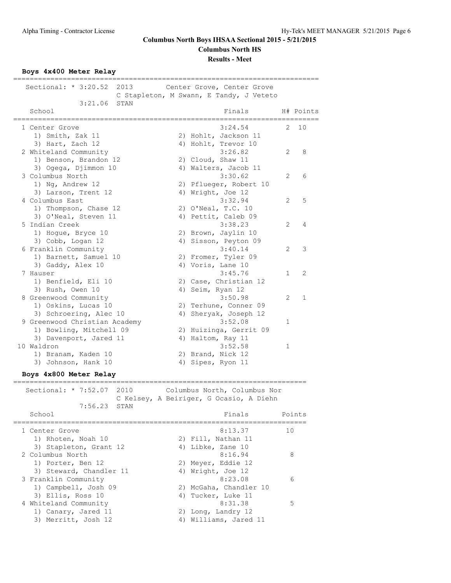**Results - Meet**

**Boys 4x400 Meter Relay**

========================================================================== Sectional: \* 3:20.52 2013 Center Grove, Center Grove C Stapleton, M Swann, E Tandy, J Veteto 3:21.06 STAN School **Finals** H# Points ========================================================================== 1 Center Grove 3:24.54 2 10 1) Smith, Zak 11 2) Hohlt, Jackson 11 3) Hart, Zach 12 4) Hohlt, Trevor 10 2 Whiteland Community 3:26.82 2 8 1) Benson, Brandon 12 2) Cloud, Shaw 11 3) Ogega, Djimmon 10 10 4) Walters, Jacob 11 3 Columbus North 3:30.62 2 6 1) Ng, Andrew 12 2) Pflueger, Robert 10 3) Larson, Trent 12 4) Wright, Joe 12 4 Columbus East 3:32.94 2 5 1) Thompson, Chase 12 2) O'Neal, T.C. 10 3) O'Neal, Steven 11 (4) Pettit, Caleb 09 5 Indian Creek 3:38.23 2 4 1) Hogue, Bryce 10 2) Brown, Jaylin 10 3) Cobb, Logan 12 (4) Sisson, Peyton 09 6 Franklin Community 3:40.14 2 3 1) Barnett, Samuel 10 and 2) Fromer, Tyler 09 3) Gaddy, Alex 10 4) Voris, Lane 10 7 Hauser 3:45.76 1 2 1) Benfield, Eli 10 2) Case, Christian 12 3) Rush, Owen 10 (4) Seim, Ryan 12 8 Greenwood Community 3:50.98 2 1 1) Oskins, Lucas 10 2) Terhune, Conner 09 3) Schroering, Alec 10 4) Sheryak, Joseph 12 9 Greenwood Christian Academy 1 3:52.08 1 1) Bowling, Mitchell 09 2) Huizinga, Gerrit 09 3) Davenport, Jared 11 4) Haltom, Ray 11 10 Waldron 3:52.58 1 1) Branam, Kaden 10 2) Brand, Nick 12 3) Johnson, Hank 10 4) Sipes, Ryon 11 **Boys 4x800 Meter Relay** ======================================================================= Sectional: \* 7:52.07 2010 Columbus North, Columbus Nor C Kelsey, A Beiriger, G Ocasio, A Diehn 7:56.23 STAN Finals Points ======================================================================= 1 Center Grove 8:13.37 10 1) Rhoten, Noah 10 2) Fill, Nathan 11 3) Stapleton, Grant 12 (4) Libke, Zane 10 2 Columbus North 8:16.94 8 1) Porter, Ben 12 2) Meyer, Eddie 12 3) Steward, Chandler 11 4) Wright, Joe 12

3 Franklin Community 8:23.08 6

4 Whiteland Community 6:31.38 5

 1) Campbell, Josh 09 2) McGaha, Chandler 10 3) Ellis, Ross 10 4) Tucker, Luke 11

1) Canary, Jared 11 2) Long, Landry 12 3) Merritt, Josh 12 4) Williams, Jared 11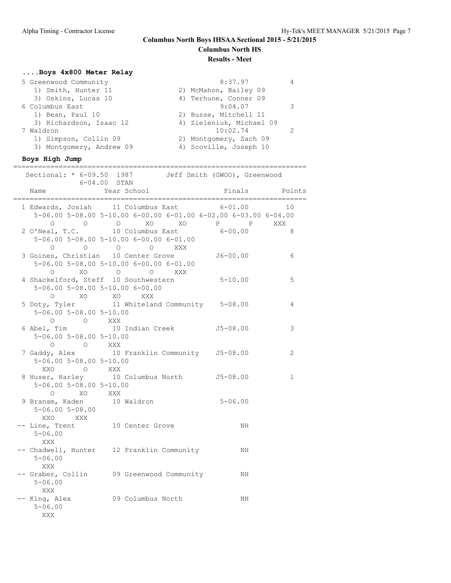## **....Boys 4x800 Meter Relay**

## **Boys High Jump**

|                                                | =============<br>Sectional: * 6-09.50 1987 Jeff Smith (GWOO), Greenwood<br>$6 - 04.00$ STAN                                          |               |              |
|------------------------------------------------|--------------------------------------------------------------------------------------------------------------------------------------|---------------|--------------|
| Name                                           | Year School                                                                                                                          | Finals Points |              |
|                                                | 1 Edwards, Josiah 11 Columbus East 6-01.00<br>5-06.00 5-08.00 5-10.00 6-00.00 6-01.00 6-02.00 6-03.00 6-04.00<br>0 0 0 XO XO P P XXX |               | 10           |
| $\circ$                                        | 2 O'Neal, T.C. 10 Columbus East 6-00.00<br>$5-06.00$ $5-08.00$ $5-10.00$ $6-00.00$ $6-01.00$<br>O O O XXX                            |               | 8            |
| $\Omega$                                       | 3 Goines, Christian 10 Center Grove 56-00.00<br>5-06.00 5-08.00 5-10.00 6-00.00 6-01.00<br>XO O O XXX                                |               | 6            |
|                                                | 4 Shackelford, Steff 10 Southwestern 5-10.00<br>5-06.00 5-08.00 5-10.00 6-00.00<br>O XO XO XXX                                       |               | 5            |
| $5 - 06.00$ $5 - 08.00$ $5 - 10.00$<br>O O XXX | 5 Doty, Tyler 11 Whiteland Community 5-08.00                                                                                         |               | 4            |
| 5-06.00 5-08.00 5-10.00<br>O O XXX             | 6 Abel, Tim 10 Indian Creek 55-08.00                                                                                                 |               | 3            |
| $5 - 06.00$ $5 - 08.00$ $5 - 10.00$            | 7 Gaddy, Alex 10 Franklin Community J5-08.00                                                                                         |               | 2            |
| 5-06.00 5-08.00 5-10.00                        | XXO O XXX<br>8 Huser, Harley 10 Columbus North J5-08.00                                                                              |               | $\mathbf{1}$ |
| $5 - 06.00$ $5 - 08.00$<br>XXO XXX             | 0 XO XXX<br>9 Branam, Kaden 10 Waldron                                                                                               | $5 - 06.00$   |              |
| $5 - 06.00$<br>XXX                             | -- Line, Trent 10 Center Grove                                                                                                       | NH.           |              |
| $5 - 06.00$<br>XXX                             | -- Chadwell, Hunter 12 Franklin Community MH                                                                                         |               |              |
| $5 - 06.00$<br>XXX                             | -- Graber, Collin 09 Greenwood Community MH                                                                                          |               |              |
| $5 - 06.00$<br>XXX                             | -- King, Alex 09 Columbus North                                                                                                      | NH            |              |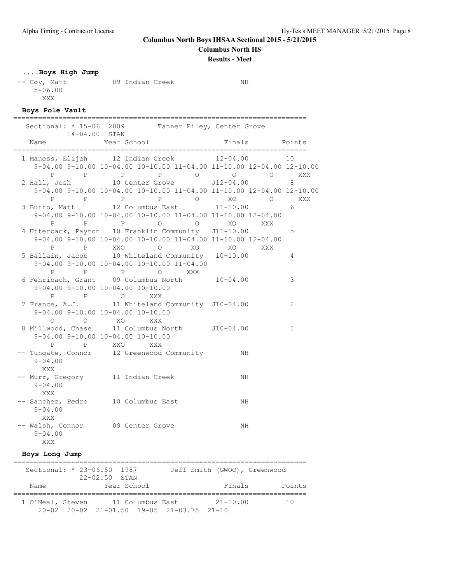**Columbus North Boys IHSAA Sectional 2015 - 5/21/2015**

# **Columbus North HS**

**Results - Meet**

## **....Boys High Jump**

-- Coy, Matt 09 Indian Creek NH 5-06.00 XXX

**Boys Pole Vault**

| Sectional: * 15-06 2009 Tanner Riley, Center Grove |                                                                                                                                                                                                             |             |                           |                                        |                      |
|----------------------------------------------------|-------------------------------------------------------------------------------------------------------------------------------------------------------------------------------------------------------------|-------------|---------------------------|----------------------------------------|----------------------|
|                                                    | $14 - 04.00$ STAN                                                                                                                                                                                           |             |                           |                                        |                      |
|                                                    | Name<br>=======================                                                                                                                                                                             | Year School |                           | Finals<br>---------------------------- | Points               |
|                                                    | 1 Maness, Elijah 12 Indian Creek<br>9-04.00 9-10.00 10-04.00 10-10.00 11-04.00 11-10.00 12-04.00 12-10.00<br>P<br>$\mathbb P$                                                                               | P           | P 0 0                     | $12 - 04.00$                           | 10<br>$\circ$<br>XXX |
|                                                    | 2 Hall, Josh<br>9-04.00 9-10.00 10-04.00 10-10.00 11-04.00 11-10.00 12-04.00 12-10.00                                                                                                                       |             | 10 Center Grove J12-04.00 |                                        | 8<br>XXX             |
|                                                    | P P P P D O XO O<br>3 Buffo, Matt 12 Columbus East 11-10.00 6<br>$9-04.00$ $9-10.00$ $10-04.00$ $10-10.00$ $11-04.00$ $11-10.00$ $12-04.00$<br>P                                                            | P P O       | O XO                      | $11 - 10.00$                           | XXX                  |
|                                                    | 4 Utterback, Payton 10 Franklin Community J11-10.00<br>$9-04.00$ $9-10.00$ $10-04.00$ $10-10.00$ $11-04.00$ $11-10.00$ $12-04.00$<br>P P XXO O XO XO XO<br>5 Ballain, Jacob 10 Whiteland Community 10-10.00 |             |                           |                                        | 5<br>XXX             |
|                                                    | $9-04.00$ $9-10.00$ $10-04.00$ $10-10.00$ $11-04.00$<br>$\mathbb{P}$<br>P                                                                                                                                   | $\mathbb P$ | O XXX                     |                                        | $\overline{4}$       |
|                                                    | 6 Fehribach, Grant 09 Columbus North 10-04.00<br>$9-04.00$ $9-10.00$ $10-04.00$ $10-10.00$                                                                                                                  |             |                           |                                        | 3                    |
|                                                    | P P O XXX<br>7 France, A.J. 11 Whiteland Community J10-04.00<br>$9-04.00$ $9-10.00$ $10-04.00$ $10-10.00$<br>$\circ$<br>$\circ$                                                                             | XO XXX      |                           |                                        | 2                    |
|                                                    | 8 Millwood, Chase 11 Columbus North J10-04.00<br>$9-04.00$ $9-10.00$ $10-04.00$ $10-10.00$<br>$\mathbf{P}$<br>$\mathbf{P}$                                                                                  | XXO         | XXX                       |                                        | 1                    |
|                                                    | -- Tungate, Connor 12 Greenwood Community MH<br>$9 - 04.00$<br>XXX                                                                                                                                          |             |                           |                                        |                      |
|                                                    | -- Murr, Gregory 11 Indian Creek<br>$9 - 04.00$<br>XXX                                                                                                                                                      |             |                           | NH                                     |                      |
|                                                    | -- Sanchez, Pedro 10 Columbus East<br>$9 - 04.00$<br>XXX                                                                                                                                                    |             |                           | NH                                     |                      |
|                                                    | -- Walsh, Connor 09 Center Grove<br>$9 - 04.00$<br>XXX                                                                                                                                                      |             |                           | NH                                     |                      |

#### **Boys Long Jump**

======================================================================= Sectional: \* 23-06.50 1987 Jeff Smith (GWOO), Greenwood 22-02.50 STAN Name Year School **Finals** Points ======================================================================= 1 O'Neal, Steven 11 Columbus East 21-10.00 10 20-02 20-02 21-01.50 19-05 21-03.75 21-10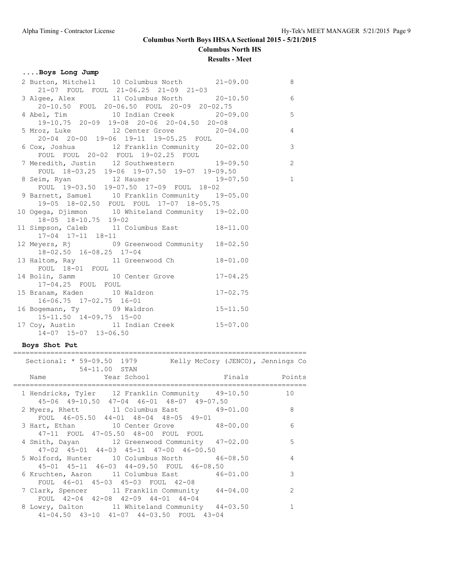## **....Boys Long Jump**

| 2 Burton, Mitchell 10 Columbus North 21-09.00                                                                                      | 8 <sup>8</sup> |
|------------------------------------------------------------------------------------------------------------------------------------|----------------|
| 21-07 FOUL FOUL 21-06.25 21-09 21-03                                                                                               |                |
| 3 Algee, Alex 11 Columbus North 20-10.50 6                                                                                         |                |
| 20-10.50 FOUL 20-06.50 FOUL 20-09 20-02.75<br>20-10.50 FOUL 20-06.50 FOUL 20-09 20-02.75<br>4 Abel, Tim 10 Indian Creek 20-09.00 5 |                |
|                                                                                                                                    |                |
| 19-10.75 20-09 19-08 20-06 20-04.50 20-08                                                                                          |                |
| 5 Mroz, Luke 12 Center Grove 20-04.00 4                                                                                            |                |
| 20-04 20-00 19-06 19-11 19-05.25 FOUL                                                                                              |                |
| 6 Cox, Joshua (a) 12 Franklin Community (20-02.00                                                                                  |                |
| FOUL FOUL 20-02 FOUL 19-02.25 FOUL                                                                                                 |                |
| roul roum 20-02 roum 19-02.25 roum<br>7 Meredith, Justin 12 Southwestern 19-09.50                                                  | $\sim$ 2       |
| FOUL 18-03.25 19-06 19-07.50 19-07 19-09.50                                                                                        |                |
| 8 Seim, Ryan 12 Hauser 19-07.50                                                                                                    | $\overline{1}$ |
| FOUL 19-03.50 19-07.50 17-09 FOUL 18-02                                                                                            |                |
| 9 Barnett, Samuel 10 Franklin Community 19-05.00                                                                                   |                |
| 19-05 18-02.50 FOUL FOUL 17-07 18-05.75                                                                                            |                |
| 10 Ogega, Djimmon 10 Whiteland Community 19-02.00                                                                                  |                |
| $18-05$ $18-10.75$ $19-02$                                                                                                         |                |
| 11 Simpson, Caleb 11 Columbus East 18-11.00                                                                                        |                |
| 17-04 17-11 18-11                                                                                                                  |                |
| 12 Meyers, Rj 69 Greenwood Community 18-02.50                                                                                      |                |
| 18-02.50 16-08.25 17-04                                                                                                            |                |
| 13 Haltom, Ray 11 Greenwood Ch<br>$18 - 01.00$                                                                                     |                |
| FOUL 18-01 FOUL                                                                                                                    |                |
| 14 Bolin, Samm 10 Center Grove 17-04.25                                                                                            |                |
| 17-04.25 FOUL FOUL                                                                                                                 |                |
| 15 Branam, Kaden 10 Waldron<br>$17 - 02.75$                                                                                        |                |
| $16-06.75$ $17-02.75$ $16-01$                                                                                                      |                |
| 16 Bogemann, Ty 09 Waldron 15-11.50                                                                                                |                |
| 15-11.50 14-09.75 15-00                                                                                                            |                |
| 17 Coy, Austin 11 Indian Creek 15-07.00                                                                                            |                |
| 14-07 15-07 13-06.50                                                                                                               |                |

# **Boys Shot Put**

|  | Sectional: * 59-09.50 1979 Kelly McCory (JENCO), Jennings Co                                                           |                |
|--|------------------------------------------------------------------------------------------------------------------------|----------------|
|  | 54-11.00 STAN<br>Name Year School<br>Finals Points                                                                     |                |
|  | 1 Hendricks, Tyler 12 Franklin Community 49-10.50 10<br>45-06 49-10.50 47-04 46-01 48-07 49-07.50                      |                |
|  | 2 Myers, Rhett 11 Columbus East 49-01.00                                                                               | 8              |
|  | FOUL 46-05.50 44-01 48-04 48-05 49-01<br>3 Hart, Ethan 10 Center Grove 48-00.00<br>47-11 FOUL 47-05.50 48-00 FOUL FOUL | 6              |
|  | 4 Smith, Dayan 12 Greenwood Community 47-02.00<br>47-02 45-01 44-03 45-11 47-00 46-00.50                               | 5              |
|  | 5 Wolford, Hunter 10 Columbus North 46-08.50<br>45-01 45-11 46-03 44-09.50 FOUL 46-08.50                               | $\overline{4}$ |
|  | 6 Kruchten, Aaron 11 Columbus East 46-01.00<br>FOUL 46-01 45-03 45-03 FOUL 42-08                                       | 3              |
|  | 7 Clark, Spencer 11 Franklin Community 44-04.00<br>FOUL 42-04 42-08 42-09 44-01 44-04                                  | $\mathcal{L}$  |
|  | 8 Lowry, Dalton 11 Whiteland Community 44-03.50<br>41-04.50 43-10 41-07 44-03.50 FOUL 43-04                            |                |
|  |                                                                                                                        |                |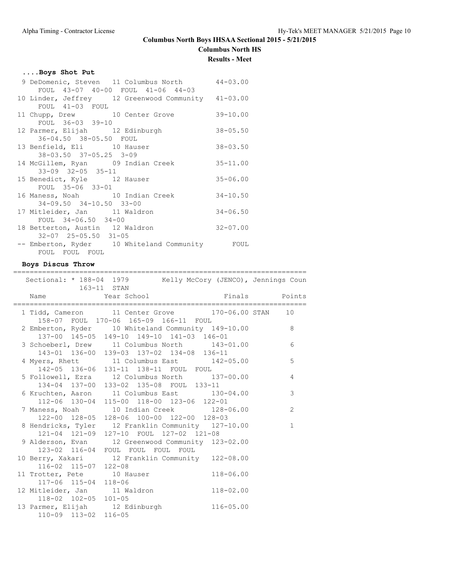**Columbus North Boys IHSAA Sectional 2015 - 5/21/2015**

# **Columbus North HS**

# **Results - Meet**

#### **....Boys Shot Put**

| 9 DeDomenic, Steven 11 Columbus North 44-03.00     |              |
|----------------------------------------------------|--------------|
| FOUL 43-07 40-00 FOUL 41-06 44-03                  |              |
| 10 Linder, Jeffrey 12 Greenwood Community 41-03.00 |              |
| FOUL 41-03 FOUL                                    |              |
| 11 Chupp, Drew 10 Center Grove 39-10.00            |              |
| FOUL 36-03 39-10                                   |              |
| 12 Parmer, Elijah 12 Edinburgh                     | $38 - 05.50$ |
| 36-04.50 38-05.50 FOUL                             |              |
| 13 Benfield, Eli 10 Hauser                         | $38 - 03.50$ |
| 38-03.50 37-05.25 3-09                             |              |
| 14 McGillem, Ryan 09 Indian Creek                  | $35 - 11.00$ |
| $33 - 09$ $32 - 05$ $35 - 11$                      |              |
| 15 Benedict, Kyle 12 Hauser                        | $35 - 06.00$ |
| FOUL 35-06 33-01                                   |              |
| 16 Maness, Noah 10 Indian Creek                    | $34 - 10.50$ |
| $34 - 09.50$ $34 - 10.50$ $33 - 00$                |              |
| 17 Mitleider, Jan 11 Waldron                       | $34 - 06.50$ |
| FOUL 34-06.50 34-00                                |              |
| 18 Betterton, Austin 12 Waldron                    | $32 - 07.00$ |
| 32-07 25-05.50 31-05                               |              |
| -- Emberton, Ryder 10 Whiteland Community FOUL     |              |
| FOUL FOUL FOUL                                     |              |

#### **Boys Discus Throw**

======================================================================= Sectional: \* 188-04 1979 Kelly McCory (JENCO), Jennings Coun 163-11 STAN Name Year School **Finals** Points ======================================================================= 1 Tidd, Cameron 11 Center Grove 170-06.00 STAN 10 158-07 FOUL 170-06 165-09 166-11 FOUL 2 Emberton, Ryder 10 Whiteland Community 149-10.00 8 137-00 145-05 149-10 149-10 141-03 146-01 3 Schoeberl, Drew 11 Columbus North 143-01.00 6 143-01 136-00 139-03 137-02 134-08 136-11 4 Myers, Rhett 11 Columbus East 142-05.00 5 142-05 136-06 131-11 138-11 FOUL FOUL 5 Followell, Ezra 12 Columbus North 137-00.00 4 134-04 137-00 133-02 135-08 FOUL 133-11 6 Kruchten, Aaron 11 Columbus East 130-04.00 3 112-06 130-04 115-00 118-00 123-06 122-01 7 Maness, Noah 10 Indian Creek 128-06.00 2 122-00 128-05 128-06 100-00 122-00 128-03 8 Hendricks, Tyler 12 Franklin Community 127-10.00 1 121-04 121-09 127-10 FOUL 127-02 121-08 9 Alderson, Evan 12 Greenwood Community 123-02.00 123-02 116-04 FOUL FOUL FOUL FOUL 10 Berry, Xakari 12 Franklin Community 122-08.00 116-02 115-07 122-08 11 Trotter, Pete 10 Hauser 118-06.00 117-06 115-04 118-06 12 Mitleider, Jan 11 Waldron 118-02.00 118-02 102-05 101-05 13 Parmer, Elijah 12 Edinburgh 116-05.00 110-09 113-02 116-05